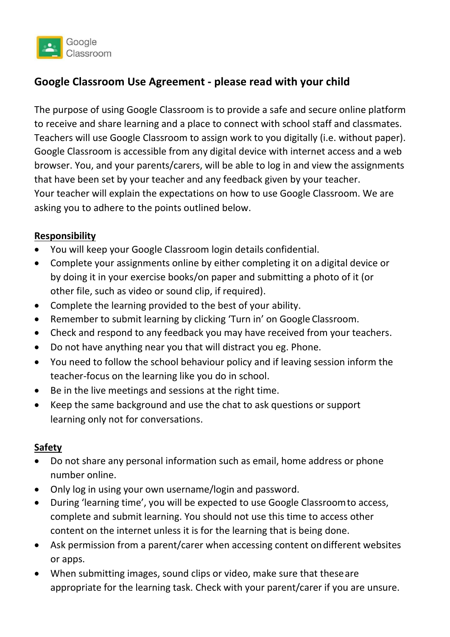

# **Google Classroom Use Agreement - please read with your child**

The purpose of using Google Classroom is to provide a safe and secure online platform to receive and share learning and a place to connect with school staff and classmates. Teachers will use Google Classroom to assign work to you digitally (i.e. without paper). Google Classroom is accessible from any digital device with internet access and a web browser. You, and your parents/carers, will be able to log in and view the assignments that have been set by your teacher and any feedback given by your teacher. Your teacher will explain the expectations on how to use Google Classroom. We are asking you to adhere to the points outlined below.

#### **Responsibility**

- You will keep your Google Classroom login details confidential.
- Complete your assignments online by either completing it on a digital device or by doing it in your exercise books/on paper and submitting a photo of it (or other file, such as video or sound clip, if required).
- Complete the learning provided to the best of your ability.
- Remember to submit learning by clicking 'Turn in' on Google Classroom.
- Check and respond to any feedback you may have received from your teachers.
- Do not have anything near you that will distract you eg. Phone.
- You need to follow the school behaviour policy and if leaving session inform the teacher-focus on the learning like you do in school.
- Be in the live meetings and sessions at the right time.
- Keep the same background and use the chat to ask questions or support learning only not for conversations.

#### **Safety**

- Do not share any personal information such as email, home address or phone number online.
- Only log in using your own username/login and password.
- During 'learning time', you will be expected to use Google Classroomto access, complete and submit learning. You should not use this time to access other content on the internet unless it is for the learning that is being done.
- Ask permission from a parent/carer when accessing content ondifferent websites or apps.
- When submitting images, sound clips or video, make sure that theseare appropriate for the learning task. Check with your parent/carer if you are unsure.